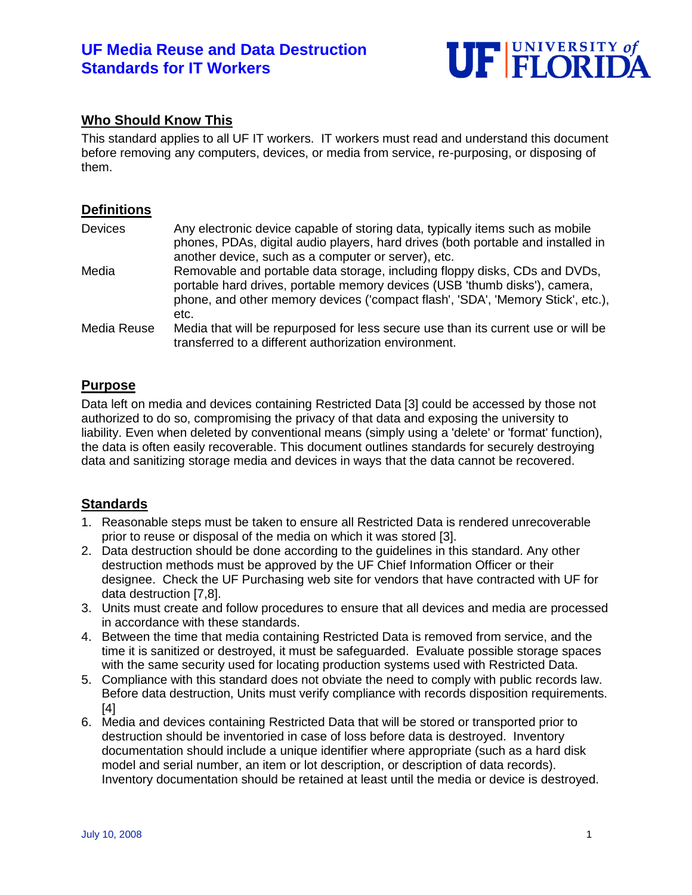# **UF Media Reuse and Data Destruction Standards for IT Workers**



## **Who Should Know This**

This standard applies to all UF IT workers. IT workers must read and understand this document before removing any computers, devices, or media from service, re-purposing, or disposing of them.

#### **Definitions**

| <b>Devices</b> | Any electronic device capable of storing data, typically items such as mobile<br>phones, PDAs, digital audio players, hard drives (both portable and installed in<br>another device, such as a computer or server), etc.                            |
|----------------|-----------------------------------------------------------------------------------------------------------------------------------------------------------------------------------------------------------------------------------------------------|
| Media          | Removable and portable data storage, including floppy disks, CDs and DVDs,<br>portable hard drives, portable memory devices (USB 'thumb disks'), camera,<br>phone, and other memory devices ('compact flash', 'SDA', 'Memory Stick', etc.),<br>etc. |
| Media Reuse    | Media that will be repurposed for less secure use than its current use or will be<br>transferred to a different authorization environment.                                                                                                          |

## **Purpose**

Data left on media and devices containing Restricted Data [3] could be accessed by those not authorized to do so, compromising the privacy of that data and exposing the university to liability. Even when deleted by conventional means (simply using a 'delete' or 'format' function), the data is often easily recoverable. This document outlines standards for securely destroying data and sanitizing storage media and devices in ways that the data cannot be recovered.

#### **Standards**

- 1. Reasonable steps must be taken to ensure all Restricted Data is rendered unrecoverable prior to reuse or disposal of the media on which it was stored [3].
- 2. Data destruction should be done according to the guidelines in this standard. Any other destruction methods must be approved by the UF Chief Information Officer or their designee. Check the UF Purchasing web site for vendors that have contracted with UF for data destruction [7,8].
- 3. Units must create and follow procedures to ensure that all devices and media are processed in accordance with these standards.
- 4. Between the time that media containing Restricted Data is removed from service, and the time it is sanitized or destroyed, it must be safeguarded. Evaluate possible storage spaces with the same security used for locating production systems used with Restricted Data.
- 5. Compliance with this standard does not obviate the need to comply with public records law. Before data destruction, Units must verify compliance with records disposition requirements. [4]
- 6. Media and devices containing Restricted Data that will be stored or transported prior to destruction should be inventoried in case of loss before data is destroyed. Inventory documentation should include a unique identifier where appropriate (such as a hard disk model and serial number, an item or lot description, or description of data records). Inventory documentation should be retained at least until the media or device is destroyed.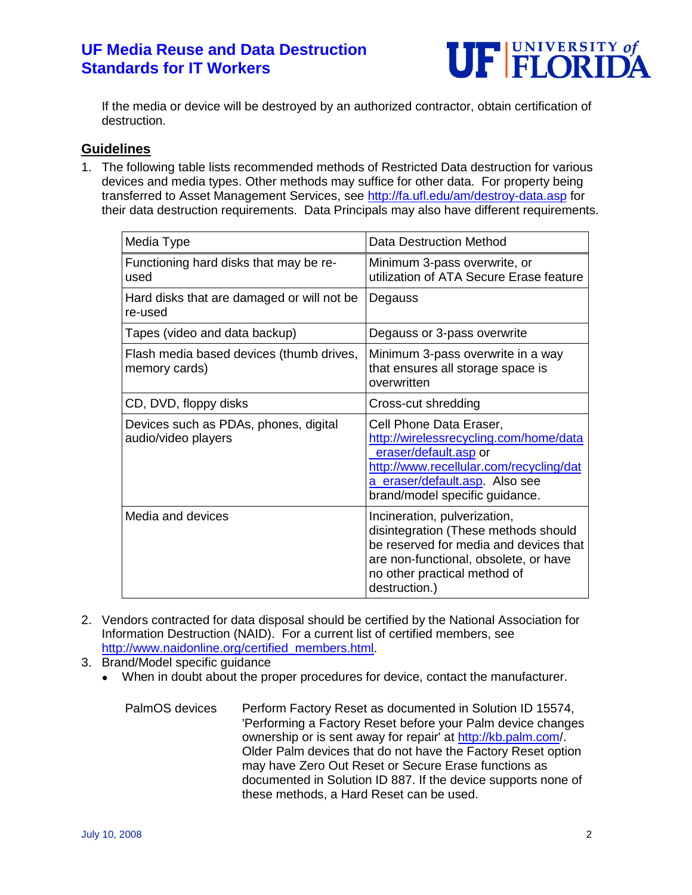# **UF Media Reuse and Data Destruction Standards for IT Workers**



If the media or device will be destroyed by an authorized contractor, obtain certification of destruction.

### **Guidelines**

1. The following table lists recommended methods of Restricted Data destruction for various devices and media types. Other methods may suffice for other data. For property being transferred to Asset Management Services, see<http://fa.ufl.edu/am/destroy-data.asp> for their data destruction requirements. Data Principals may also have different requirements.

| Media Type                                                   | Data Destruction Method                                                                                                                                                                                   |
|--------------------------------------------------------------|-----------------------------------------------------------------------------------------------------------------------------------------------------------------------------------------------------------|
| Functioning hard disks that may be re-<br>used               | Minimum 3-pass overwrite, or<br>utilization of ATA Secure Erase feature                                                                                                                                   |
| Hard disks that are damaged or will not be<br>re-used        | Degauss                                                                                                                                                                                                   |
| Tapes (video and data backup)                                | Degauss or 3-pass overwrite                                                                                                                                                                               |
| Flash media based devices (thumb drives,<br>memory cards)    | Minimum 3-pass overwrite in a way<br>that ensures all storage space is<br>overwritten                                                                                                                     |
| CD, DVD, floppy disks                                        | Cross-cut shredding                                                                                                                                                                                       |
| Devices such as PDAs, phones, digital<br>audio/video players | Cell Phone Data Eraser,<br>http://wirelessrecycling.com/home/data<br>eraser/default.asp or<br>http://www.recellular.com/recycling/dat<br>a_eraser/default.asp. Also see<br>brand/model specific guidance. |
| Media and devices                                            | Incineration, pulverization,<br>disintegration (These methods should<br>be reserved for media and devices that<br>are non-functional, obsolete, or have<br>no other practical method of<br>destruction.)  |

- 2. Vendors contracted for data disposal should be certified by the National Association for Information Destruction (NAID). For a current list of certified members, see [http://www.naidonline.org/certified\\_members.html.](http://www.naidonline.org/certified_members.html)
- 3. Brand/Model specific guidance
	- When in doubt about the proper procedures for device, contact the manufacturer.

PalmOS devices Perform Factory Reset as documented in Solution ID 15574, 'Performing a Factory Reset before your Palm device changes ownership or is sent away for repair' at<http://kb.palm.com/>. Older Palm devices that do not have the Factory Reset option may have Zero Out Reset or Secure Erase functions as documented in Solution ID 887. If the device supports none of these methods, a Hard Reset can be used.